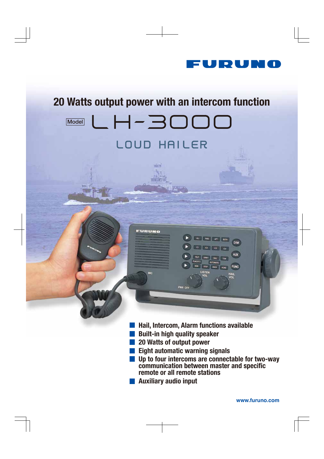

# 20 Watts output power with an intercom functionLH-3000 **Model** LOUD HAILER

**TOTAL** 

FURUNO

- Hail, Intercom, Alarm functions available
- Built-in high quality speaker
- 20 Watts of output power
- **Eight automatic warning signals**

PWR OFF

**Up to four intercoms are connectable for two-way** communication between master and specific remote or all remote stations

ALL FWD AFT BOTH

 $\left\Vert \mathbf{C}\right\Vert =\left\Vert \mathbf{C}\right\Vert =\left\Vert \mathbf{C}\right\Vert =\left\Vert \mathbf{C}\right\Vert =\left\Vert \mathbf{C}\right\Vert =\left\Vert \mathbf{C}\right\Vert$ 

YEP UNIV SAL TOW **AUTOMATIC** 

STOP ANCH AGNO

DIM

AUX

**FUNC** 

Auxiliary audio input